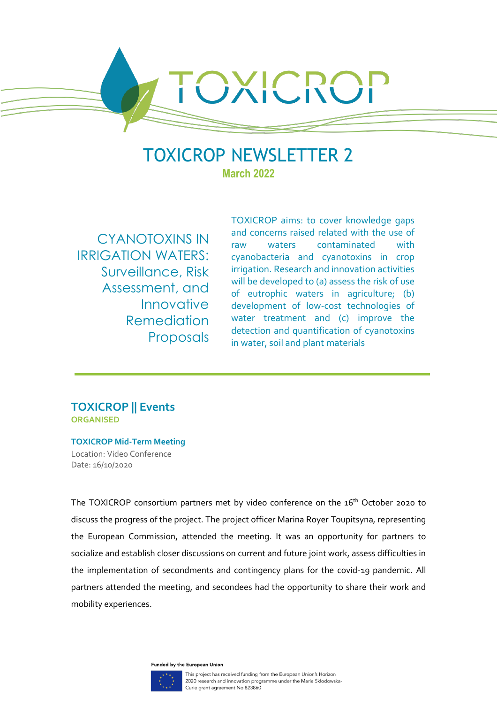TOXICROP NEWSLETTER 2 **March 2022**

CYANOTOXINS IN IRRIGATION WATERS: Surveillance, Risk Assessment, and Innovative Remediation Proposals

TOXICROP aims: to cover knowledge gaps and concerns raised related with the use of raw waters contaminated with cyanobacteria and cyanotoxins in crop irrigation. Research and innovation activities will be developed to (a) assess the risk of use of eutrophic waters in agriculture; (b) development of low-cost technologies of water treatment and (c) improve the detection and quantification of cyanotoxins in water, soil and plant materials

## **TOXICROP || Events ORGANISED**

**TOXICROP Mid-Term Meeting** Location: Video Conference Date: 16/10/2020

The TOXICROP consortium partners met by video conference on the 16<sup>th</sup> October 2020 to discuss the progress of the project. The project officer Marina Royer Toupitsyna, representing the European Commission, attended the meeting. It was an opportunity for partners to socialize and establish closer discussions on current and future joint work, assess difficulties in the implementation of secondments and contingency plans for the covid-19 pandemic. All partners attended the meeting, and secondees had the opportunity to share their work and mobility experiences.

Funded by the European Union

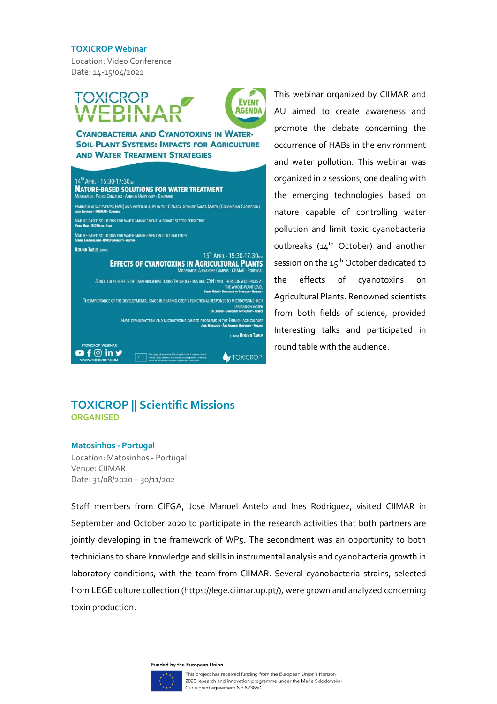#### **TOXICROP Webinar**

Location: Video Conference Date: 14-15/04/2021



**CYANOBACTERIA AND CYANOTOXINS IN WATER-SOIL-PLANT SYSTEMS: IMPACTS FOR AGRICULTURE AND WATER TREATMENT STRATEGIES** 



This webinar organized by CIIMAR and AU aimed to create awareness and promote the debate concerning the occurrence of HABs in the environment and water pollution. This webinar was organized in 2 sessions, one dealing with the emerging technologies based on nature capable of controlling water pollution and limit toxic cyanobacteria outbreaks (14<sup>th</sup> October) and another session on the 15<sup>th</sup> October dedicated to the effects of cyanotoxins on Agricultural Plants. Renowned scientists from both fields of science, provided Interesting talks and participated in round table with the audience.

# **TOXICROP || Scientific Missions ORGANISED**

### **Matosinhos - Portugal**

Location: Matosinhos - Portugal Venue: CIIMAR Date: 31/08/2020 – 30/11/202

Staff members from CIFGA, José Manuel Antelo and Inés Rodriguez, visited CIIMAR in September and October 2020 to participate in the research activities that both partners are jointly developing in the framework of WP5. The secondment was an opportunity to both technicians to share knowledge and skills in instrumental analysis and cyanobacteria growth in laboratory conditions, with the team from CIIMAR. Several cyanobacteria strains, selected from LEGE culture collection (https://lege.ciimar.up.pt/), were grown and analyzed concerning toxin production.

Funded by the European Union

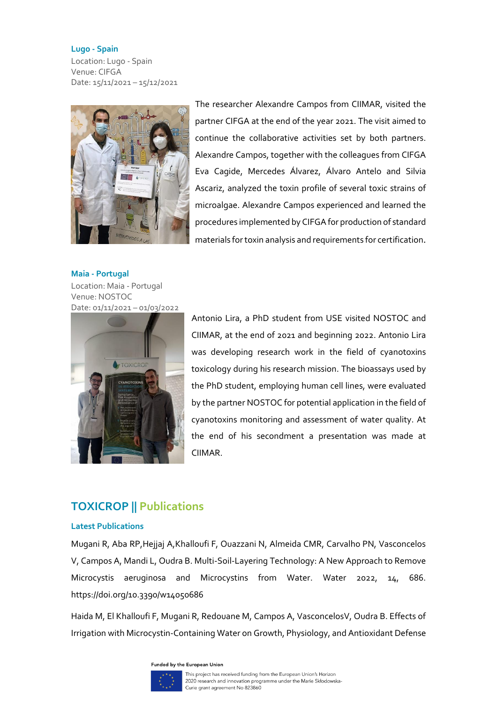#### **Lugo - Spain**

Location: Lugo - Spain Venue: CIFGA Date: 15/11/2021 – 15/12/2021



The researcher Alexandre Campos from CIIMAR, visited the partner CIFGA at the end of the year 2021. The visit aimed to continue the collaborative activities set by both partners. Alexandre Campos, together with the colleagues from CIFGA Eva Cagide, Mercedes Álvarez, Álvaro Antelo and Silvia Ascariz, analyzed the toxin profile of several toxic strains of microalgae. Alexandre Campos experienced and learned the procedures implemented by CIFGA for production of standard materials for toxin analysis and requirements for certification.

**Maia - Portugal** Location: Maia - Portugal Venue: NOSTOC Date: 01/11/2021 – 01/03/2022



Antonio Lira, a PhD student from USE visited NOSTOC and CIIMAR, at the end of 2021 and beginning 2022. Antonio Lira was developing research work in the field of cyanotoxins toxicology during his research mission. The bioassays used by the PhD student, employing human cell lines, were evaluated by the partner NOSTOC for potential application in the field of cyanotoxins monitoring and assessment of water quality. At the end of his secondment a presentation was made at CIIMAR.

# **TOXICROP || Publications**

## **Latest Publications**

Mugani R, Aba RP,Hejjaj A,Khalloufi F, Ouazzani N, Almeida CMR, Carvalho PN, Vasconcelos V, Campos A, Mandi L, Oudra B. Multi-Soil-Layering Technology: A New Approach to Remove Microcystis aeruginosa and Microcystins from Water. Water 2022, 14, 686. https://doi.org/10.3390/w14050686

Haida M, El Khalloufi F, Mugani R, Redouane M, Campos A, VasconcelosV, Oudra B. Effects of Irrigation with Microcystin-Containing Water on Growth, Physiology, and Antioxidant Defense

Funded by the European Union

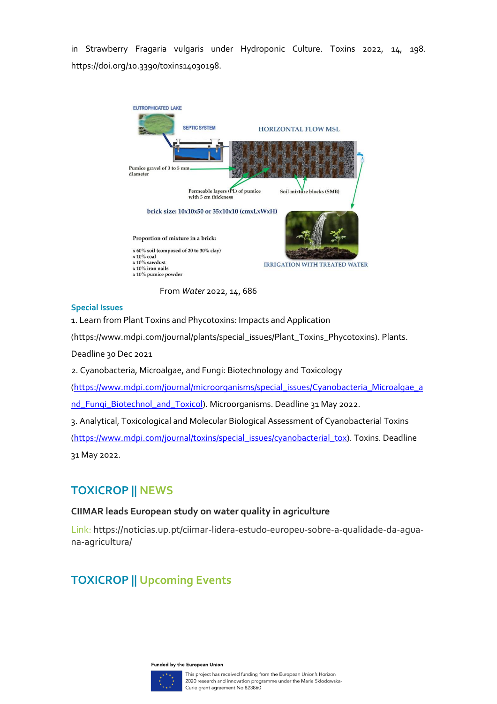in Strawberry Fragaria vulgaris under Hydroponic Culture. Toxins 2022, 14, 198. https://doi.org/10.3390/toxins14030198.



From *Water* 2022, 14, 686

## **Special Issues**

1. Learn from Plant Toxins and Phycotoxins: Impacts and Application

(https://www.mdpi.com/journal/plants/special\_issues/Plant\_Toxins\_Phycotoxins). Plants.

Deadline 30 Dec 2021

2. Cyanobacteria, Microalgae, and Fungi: Biotechnology and Toxicology

[\(https://www.mdpi.com/journal/microorganisms/special\\_issues/Cyanobacteria\\_Microalgae\\_a](https://www.mdpi.com/journal/microorganisms/special_issues/Cyanobacteria_Microalgae_and_Fungi_Biotechnol_and_Toxicol)

[nd\\_Fungi\\_Biotechnol\\_and\\_Toxicol\)](https://www.mdpi.com/journal/microorganisms/special_issues/Cyanobacteria_Microalgae_and_Fungi_Biotechnol_and_Toxicol). Microorganisms. Deadline 31 May 2022.

3. Analytical, Toxicological and Molecular Biological Assessment of Cyanobacterial Toxins [\(https://www.mdpi.com/journal/toxins/special\\_issues/cyanobacterial\\_tox\)](https://www.mdpi.com/journal/toxins/special_issues/cyanobacterial_tox). Toxins. Deadline 31 May 2022.

# **TOXICROP || NEWS**

## **CIIMAR leads European study on water quality in agriculture**

Link: https://noticias.up.pt/ciimar-lidera-estudo-europeu-sobre-a-qualidade-da-aguana-agricultura/

# **TOXICROP || Upcoming Events**

Funded by the European Union